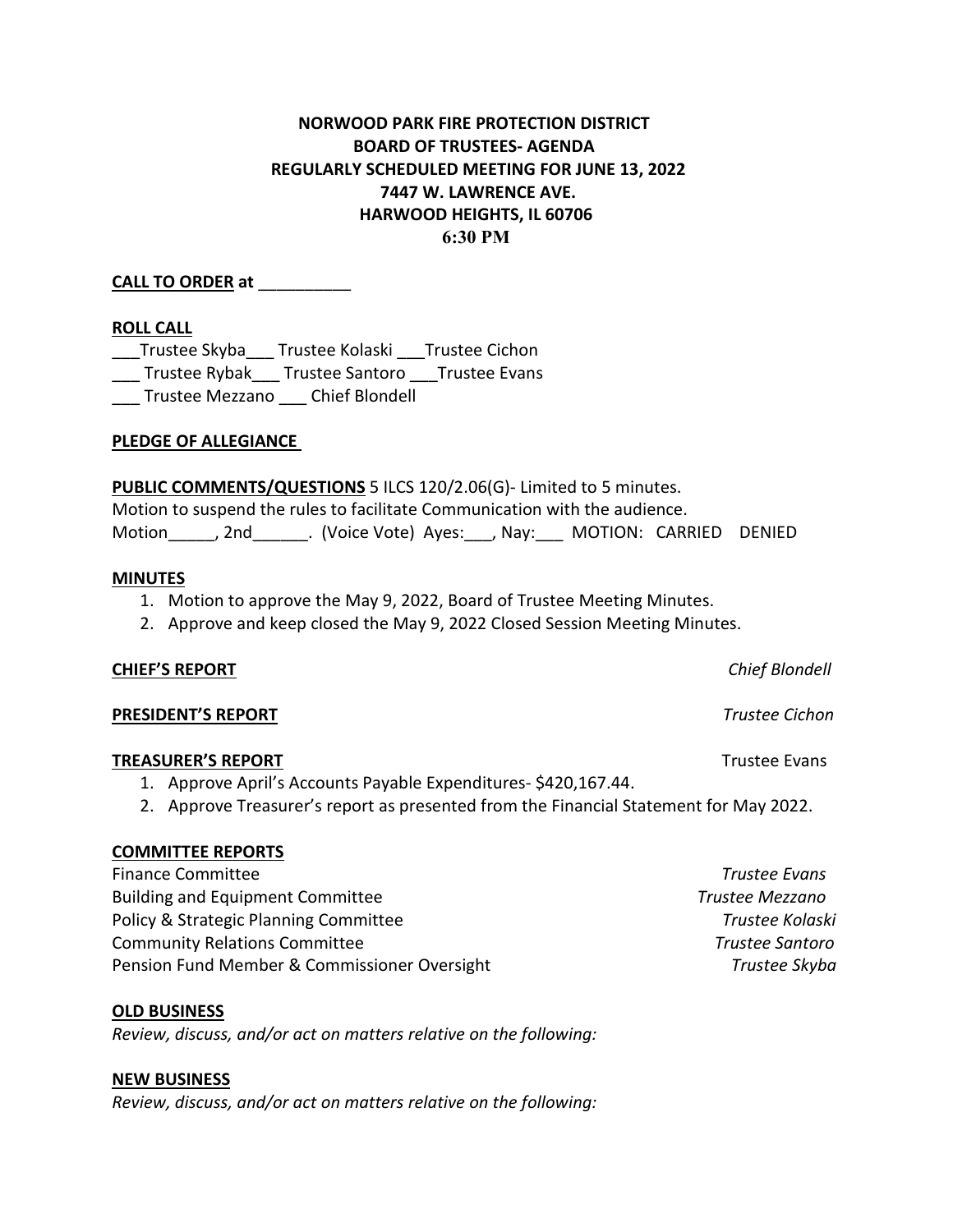# **NORWOOD PARK FIRE PROTECTION DISTRICT BOARD OF TRUSTEES- AGENDA REGULARLY SCHEDULED MEETING FOR JUNE 13, 2022 7447 W. LAWRENCE AVE. HARWOOD HEIGHTS, IL 60706 6:30 PM**

## **CALL TO ORDER at** \_\_\_\_\_\_\_\_\_\_

## **ROLL CALL**

\_\_\_Trustee Skyba\_\_\_ Trustee Kolaski \_\_\_Trustee Cichon \_\_\_ Trustee Rybak\_\_\_ Trustee Santoro \_\_\_Trustee Evans \_\_\_ Trustee Mezzano \_\_\_ Chief Blondell

## **PLEDGE OF ALLEGIANCE**

**PUBLIC COMMENTS/QUESTIONS** 5 ILCS 120/2.06(G)- Limited to 5 minutes. Motion to suspend the rules to facilitate Communication with the audience. Motion\_\_\_\_\_, 2nd\_\_\_\_\_\_. (Voice Vote) Ayes:\_\_\_, Nay:\_\_\_ MOTION: CARRIED DENIED

### **MINUTES**

- 1. Motion to approve the May 9, 2022, Board of Trustee Meeting Minutes.
- 2. Approve and keep closed the May 9, 2022 Closed Session Meeting Minutes.

### **CHIEF'S REPORT** *Chief Blondell*

### **PRESIDENT'S REPORT** *Trustee Cichon*

## **TREASURER'S REPORT** TREASURER'S **REPORT**

- 1. Approve April's Accounts Payable Expenditures- \$420,167.44.
- 2. Approve Treasurer's report as presented from the Financial Statement for May 2022.

## **COMMITTEE REPORTS**

Finance Committee *Trustee Evans*  Building and Equipment Committee *Trustee Mezzano* Policy & Strategic Planning Committee *Trustee Kolaski* Community Relations Committee *Trustee Santoro* Pension Fund Member & Commissioner Oversight **Trustee Skyba** 7rustee Skyba

**OLD BUSINESS**

*Review, discuss, and/or act on matters relative on the following:*

## **NEW BUSINESS**

*Review, discuss, and/or act on matters relative on the following:*